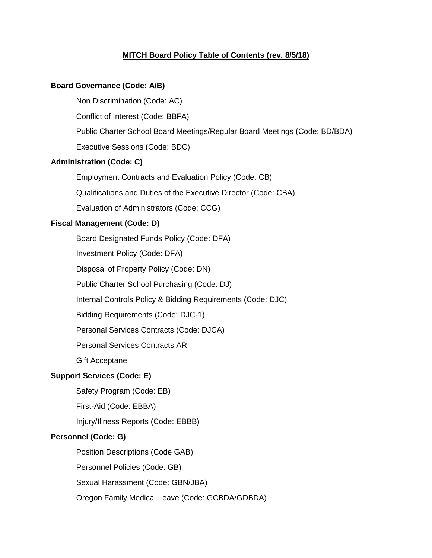# **MITCH Board Policy Table of Contents (rev. 8/5/18)**

#### **Board Governance (Code: A/B)**

Non Discrimination (Code: AC)

Conflict of Interest (Code: BBFA)

Public Charter School Board Meetings/Regular Board Meetings (Code: BD/BDA)

Executive Sessions (Code: BDC)

# **Administration (Code: C)**

Employment Contracts and Evaluation Policy (Code: CB)

Qualifications and Duties of the Executive Director (Code: CBA)

Evaluation of Administrators (Code: CCG)

# **Fiscal Management (Code: D)**

Board Designated Funds Policy (Code: DFA)

Investment Policy (Code: DFA)

Disposal of Property Policy (Code: DN)

Public Charter School Purchasing (Code: DJ)

Internal Controls Policy & Bidding Requirements (Code: DJC)

Bidding Requirements (Code: DJC-1)

Personal Services Contracts (Code: DJCA)

Personal Services Contracts AR

Gift Acceptane

# **Support Services (Code: E)**

Safety Program (Code: EB)

First-Aid (Code: EBBA)

Injury/Illness Reports (Code: EBBB)

### **Personnel (Code: G)**

Position Descriptions (Code GAB) Personnel Policies (Code: GB)

Sexual Harassment (Code: GBN/JBA)

Oregon Family Medical Leave (Code: GCBDA/GDBDA)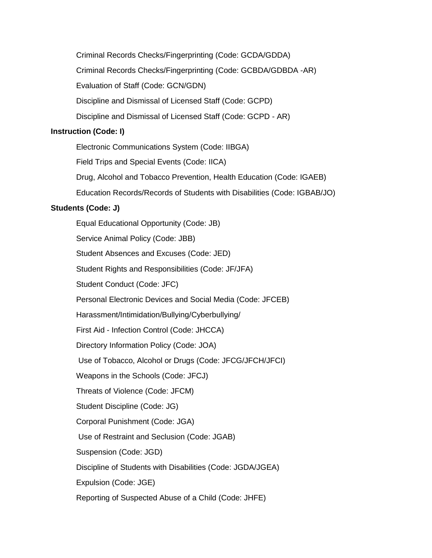Criminal Records Checks/Fingerprinting (Code: GCDA/GDDA) Criminal Records Checks/Fingerprinting (Code: GCBDA/GDBDA -AR) Evaluation of Staff (Code: GCN/GDN) Discipline and Dismissal of Licensed Staff (Code: GCPD) Discipline and Dismissal of Licensed Staff (Code: GCPD - AR)

### **Instruction (Code: I)**

Electronic Communications System (Code: IIBGA) Field Trips and Special Events (Code: IICA) Drug, Alcohol and Tobacco Prevention, Health Education (Code: IGAEB) Education Records/Records of Students with Disabilities (Code: IGBAB/JO)

# **Students (Code: J)**

Equal Educational Opportunity (Code: JB) Service Animal Policy (Code: JBB) Student Absences and Excuses (Code: JED) Student Rights and Responsibilities (Code: JF/JFA) Student Conduct (Code: JFC) Personal Electronic Devices and Social Media (Code: JFCEB) Harassment/Intimidation/Bullying/Cyberbullying/ First Aid - Infection Control (Code: JHCCA) Directory Information Policy (Code: JOA) Use of Tobacco, Alcohol or Drugs (Code: JFCG/JFCH/JFCI) Weapons in the Schools (Code: JFCJ) Threats of Violence (Code: JFCM) Student Discipline (Code: JG) Corporal Punishment (Code: JGA) Use of Restraint and Seclusion (Code: JGAB) Suspension (Code: JGD) Discipline of Students with Disabilities (Code: JGDA/JGEA) Expulsion (Code: JGE) Reporting of Suspected Abuse of a Child (Code: JHFE)